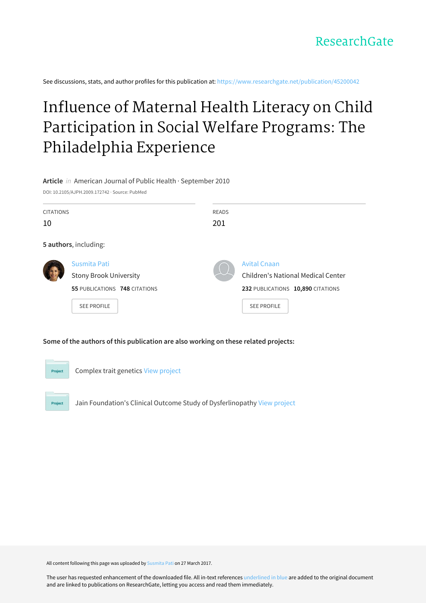See discussions, stats, and author profiles for this publication at: [https://www.researchgate.net/publication/45200042](https://www.researchgate.net/publication/45200042_Influence_of_Maternal_Health_Literacy_on_Child_Participation_in_Social_Welfare_Programs_The_Philadelphia_Experience?enrichId=rgreq-d3abe1bf50bacb4cbb3de56f2bb2121d-XXX&enrichSource=Y292ZXJQYWdlOzQ1MjAwMDQyO0FTOjEwMjAxMDUwNjQ0ODkwMEAxNDAxMzMyNjA4MzQz&el=1_x_2&_esc=publicationCoverPdf)

# Influence of Maternal Health Literacy on Child [Participation](https://www.researchgate.net/publication/45200042_Influence_of_Maternal_Health_Literacy_on_Child_Participation_in_Social_Welfare_Programs_The_Philadelphia_Experience?enrichId=rgreq-d3abe1bf50bacb4cbb3de56f2bb2121d-XXX&enrichSource=Y292ZXJQYWdlOzQ1MjAwMDQyO0FTOjEwMjAxMDUwNjQ0ODkwMEAxNDAxMzMyNjA4MzQz&el=1_x_3&_esc=publicationCoverPdf) in Social Welfare Programs: The Philadelphia Experience

**Article** in American Journal of Public Health · September 2010

DOI: 10.2105/AJPH.2009.172742 · Source: PubMed

| <b>CITATIONS</b><br>10 |                                                                                                      | <b>READS</b><br>201 |                                                                                                                             |  |  |  |
|------------------------|------------------------------------------------------------------------------------------------------|---------------------|-----------------------------------------------------------------------------------------------------------------------------|--|--|--|
|                        | 5 authors, including:                                                                                |                     |                                                                                                                             |  |  |  |
|                        | Susmita Pati<br><b>Stony Brook University</b><br>55 PUBLICATIONS 748 CITATIONS<br><b>SEE PROFILE</b> |                     | <b>Avital Cnaan</b><br><b>Children's National Medical Center</b><br>232 PUBLICATIONS 10,890 CITATIONS<br><b>SEE PROFILE</b> |  |  |  |

#### **Some of the authors of this publication are also working on these related projects:**

| <b>Project</b> | Complex trait genetics View project                                      |
|----------------|--------------------------------------------------------------------------|
|                |                                                                          |
| <b>Project</b> | Jain Foundation's Clinical Outcome Study of Dysferlinopathy View project |

All content following this page was uploaded by [Susmita](https://www.researchgate.net/profile/Susmita_Pati?enrichId=rgreq-d3abe1bf50bacb4cbb3de56f2bb2121d-XXX&enrichSource=Y292ZXJQYWdlOzQ1MjAwMDQyO0FTOjEwMjAxMDUwNjQ0ODkwMEAxNDAxMzMyNjA4MzQz&el=1_x_10&_esc=publicationCoverPdf) Pati on 27 March 2017.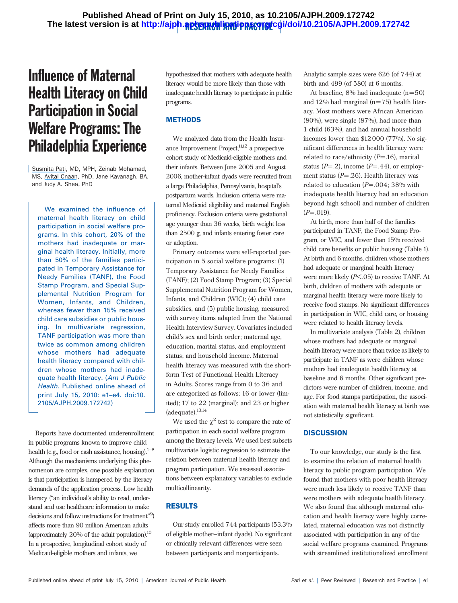## Influence of Maternal Health Literacy on Child Participation in Social Welfare Programs: The Philadelphia Experience

[Susmita Pati](https://www.researchgate.net/profile/Susmita_Pati?el=1_x_100&enrichId=rgreq-d3abe1bf50bacb4cbb3de56f2bb2121d-XXX&enrichSource=Y292ZXJQYWdlOzQ1MjAwMDQyO0FTOjEwMjAxMDUwNjQ0ODkwMEAxNDAxMzMyNjA4MzQz), MD, MPH, Zeinab Mohamad, MS, [Avital Cnaan](https://www.researchgate.net/profile/Avital_Cnaan?el=1_x_100&enrichId=rgreq-d3abe1bf50bacb4cbb3de56f2bb2121d-XXX&enrichSource=Y292ZXJQYWdlOzQ1MjAwMDQyO0FTOjEwMjAxMDUwNjQ0ODkwMEAxNDAxMzMyNjA4MzQz), PhD, Jane Kavanagh, BA, and Judy A. Shea, PhD

We examined the influence of maternal health literacy on child participation in social welfare programs. In this cohort, 20% of the mothers had inadequate or marginal health literacy. Initially, more than 50% of the families participated in Temporary Assistance for Needy Families (TANF), the Food Stamp Program, and Special Supplemental Nutrition Program for Women, Infants, and Children, whereas fewer than 15% received child care subsidies or public housing. In multivariate regression, TANF participation was more than twice as common among children whose mothers had adequate health literacy compared with children whose mothers had inadequate health literacy. (Am J Public Health. Published online ahead of print July 15, 2010: e1–e4. doi:10. 2105/AJPH.2009.172742)

Reports have documented underenrollment in public programs known to improve child health (e.g., food or cash assistance, housing).<sup>1–8</sup> Although the mechanisms underlying this phenomenon are complex, one possible explanation is that participation is hampered by the literacy demands of the application process. Low health literacy (''an individual's ability to read, understand and use healthcare information to make decisions and follow instructions for treatment"<sup>9</sup>) affects more than 90 million American adults (approximately 20% of the adult population).10 In a prospective, longitudinal cohort study of Medicaid-eligible mothers and infants, we

hypothesized that mothers with adequate health literacy would be more likely than those with inadequate health literacy to participate in public programs.

#### **METHODS**

We analyzed data from the Health Insurance Improvement Project, $11,12$  a prospective cohort study of Medicaid-eligible mothers and their infants. Between June 2005 and August 2006, mother-infant dyads were recruited from a large Philadelphia, Pennsylvania, hospital's postpartum wards. Inclusion criteria were maternal Medicaid eligibility and maternal English proficiency. Exclusion criteria were gestational age younger than 36 weeks, birth weight less than 2500 g, and infants entering foster care or adoption.

Primary outcomes were self-reported participation in 5 social welfare programs: (1) Temporary Assistance for Needy Families (TANF); (2) Food Stamp Program; (3) Special Supplemental Nutrition Program for Women, Infants, and Children (WIC); (4) child care subsidies, and (5) public housing, measured with survey items adapted from the National Health Interview Survey. Covariates included child's sex and birth order; maternal age, education, marital status, and employment status; and household income. Maternal health literacy was measured with the shortform Test of Functional Health Literacy in Adults. Scores range from 0 to 36 and are categorized as follows: 16 or lower (limited); 17 to 22 (marginal); and 23 or higher  $(adequate).$ <sup>13,14</sup>

We used the  $\chi^2$  test to compare the rate of participation in each social welfare program among the literacy levels. We used best subsets multivariate logistic regression to estimate the relation between maternal health literacy and program participation. We assessed associations between explanatory variables to exclude multicollinearity.

#### RESULTS

Our study enrolled 744 participants (53.3% of eligible mother–infant dyads). No significant or clinically relevant differences were seen between participants and nonparticipants.

Analytic sample sizes were 626 (of 744) at birth and 499 (of 580) at 6 months.

At baseline,  $8\%$  had inadequate  $(n=50)$ and  $12\%$  had marginal (n=75) health literacy. Most mothers were African American (80%), were single (87%), had more than 1 child (63%), and had annual household incomes lower than \$12000 (77%). No significant differences in health literacy were related to race/ethnicity  $(P=16)$ , marital status ( $P = .2$ ), income ( $P = .44$ ), or employment status ( $P = .26$ ). Health literacy was related to education  $(P=.004; 38%$  with inadequate health literacy had an education beyond high school) and number of children  $(P=.019)$ .

At birth, more than half of the families participated in TANF, the Food Stamp Program, or WIC, and fewer than 15% received child care benefits or public housing (Table 1). At birth and 6 months, children whose mothers had adequate or marginal health literacy were more likely  $(P<.05)$  to receive TANF. At birth, children of mothers with adequate or marginal health literacy were more likely to receive food stamps. No significant differences in participation in WIC, child care, or housing were related to health literacy levels.

In multivariate analysis (Table 2), children whose mothers had adequate or marginal health literacy were more than twice as likely to participate in TANF as were children whose mothers had inadequate health literacy at baseline and 6 months. Other significant predictors were number of children, income, and age. For food stamps participation, the association with maternal health literacy at birth was not statistically significant.

#### **DISCUSSION**

To our knowledge, our study is the first to examine the relation of maternal health literacy to public program participation. We found that mothers with poor health literacy were much less likely to receive TANF than were mothers with adequate health literacy. We also found that although maternal education and health literacy were highly correlated, maternal education was not distinctly associated with participation in any of the social welfare programs examined. Programs with streamlined institutionalized enrollment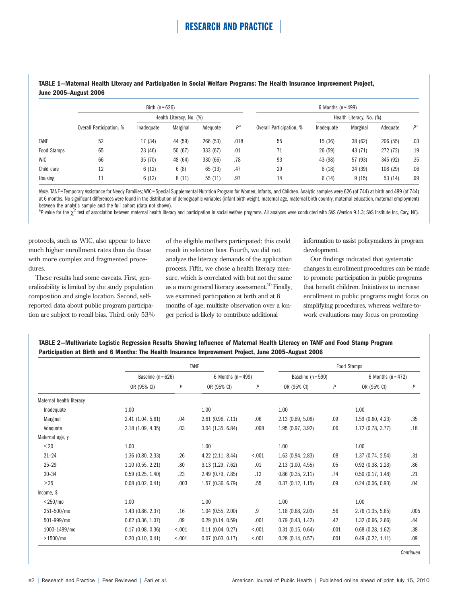## RESEARCH AND PRACTICE

|             |                          | Birth $(n = 626)$        | 6 Months ( $n = 499$ ) |          |                |                          |                          |          |          |     |
|-------------|--------------------------|--------------------------|------------------------|----------|----------------|--------------------------|--------------------------|----------|----------|-----|
|             |                          | Health Literacy, No. (%) |                        |          |                |                          | Health Literacy, No. (%) |          |          |     |
|             | Overall Participation, % | Inadequate               | Marginal               | Adequate | P <sup>a</sup> | Overall Participation, % | Inadequate               | Marginal | Adequate | pa  |
| <b>TANF</b> | 52                       | 17 (34)                  | 44 (59)                | 266 (53) | .018           | 55                       | 15 (36)                  | 38 (62)  | 206 (55) | .03 |
| Food Stamps | 65                       | 23 (46)                  | 50 (67)                | 333 (67) | .01            | 71                       | 26 (59)                  | 43 (71)  | 272 (72) | .19 |
| <b>WIC</b>  | 66                       | 35(70)                   | 48 (64)                | 330 (66) | .78            | 93                       | 43 (98)                  | 57 (93)  | 345 (92) | .35 |
| Child care  | 12                       | 6(12)                    | 6(8)                   | 65 (13)  | .47            | 29                       | 8(18)                    | 24 (39)  | 108 (29) | .06 |
| Housing     | 11                       | 6(12)                    | 8(11)                  | 55(11)   | .97            | 14                       | 6(14)                    | 9(15)    | 53 (14)  | .99 |

#### TABLE 1—Maternal Health Literacy and Participation in Social Welfare Programs: The Health Insurance Improvement Project, June 2005–August 2006

Note. TANF = Temporary Assistance for Needy Families: WIC = Special Supplemental Nutrition Program for Women, Infants, and Children. Analytic samples were 626 (of 744) at birth and 499 (of 744) at 6 months. No significant differences were found in the distribution of demographic variables (infant birth weight, maternal age, maternal birth country, maternal education, maternal employment) between the analytic sample and the full cohort (data not shown).

<sup>a</sup>P value for the  $\chi^2$  test of association between maternal health literacy and participation in social welfare programs. All analyses were conducted with SAS (Version 9.1.3; SAS Institute Inc, Cary, NC).

protocols, such as WIC, also appear to have much higher enrollment rates than do those with more complex and fragmented procedures.

These results had some caveats. First, generalizability is limited by the study population composition and single location. Second, selfreported data about public program participation are subject to recall bias. Third, only 53% of the eligible mothers participated; this could result in selection bias. Fourth, we did not analyze the literacy demands of the application process. Fifth, we chose a health literacy measure, which is correlated with but not the same as a more general literacy assessment.<sup>10</sup> Finally, we examined participation at birth and at 6 months of age; multisite observation over a longer period is likely to contribute additional

information to assist policymakers in program development.

Our findings indicated that systematic changes in enrollment procedures can be made to promote participation in public programs that benefit children. Initiatives to increase enrollment in public programs might focus on simplifying procedures, whereas welfare-towork evaluations may focus on promoting

#### TABLE 2—Multivariate Logistic Regression Results Showing Influence of Maternal Health Literacy on TANF and Food Stamp Program Participation at Birth and 6 Months: The Health Insurance Improvement Project, June 2005–August 2006

|                          |                        | TANF   | Food Stamps          |        |                       |      |                       |      |
|--------------------------|------------------------|--------|----------------------|--------|-----------------------|------|-----------------------|------|
|                          | Baseline ( $n = 626$ ) |        | 6 Months $(n = 499)$ |        | Baseline $(n = 590)$  |      | 6 Months $(n = 472)$  |      |
|                          | OR (95% CI)            | P      | OR (95% CI)          | P      | OR (95% CI)           | P    | OR (95% CI)           | P    |
| Maternal health literacy |                        |        |                      |        |                       |      |                       |      |
| Inadequate               | 1.00                   |        | 1.00                 |        | 1.00                  |      | 1.00                  |      |
| Marginal                 | 2.41 (1.04, 5.61)      | .04    | $2.61$ (0.96, 7.11)  | .06    | $2.13$ (0.89, 5.08)   | .09  | $1.59$ (0.60, 4.23)   | .35  |
| Adequate                 | 2.18 (1.09, 4.35)      | .03    | 3.04 (1.35, 6.84)    | .008   | 1.95(0.97, 3.92)      | .06  | $1.72$ (0.78, 3.77)   | .18  |
| Maternal age, y          |                        |        |                      |        |                       |      |                       |      |
| $\leq$ 20                | 1.00                   |        | 1.00                 |        | 1.00                  |      | 1.00                  |      |
| $21 - 24$                | 1.36 (0.80, 2.33)      | .26    | 4.22 (2.11, 8.44)    | < .001 | $1.63$ (0.94, 2.83)   | .08  | 1.37 (0.74, 2.54)     | .31  |
| $25 - 29$                | $1.10$ (0.55, 2.21)    | .80    | 3.13(1.29, 7.62)     | .01    | 2.13(1.00, 4.55)      | .05  | $0.92$ (0.38, 2.23)   | .86  |
| $30 - 34$                | $0.59$ $(0.25, 1.40)$  | .23    | 2.49 (0.79, 7.85)    | .12    | $0.86$ $(0.35, 2.11)$ | .74  | $0.50$ $(0.17, 1.48)$ | .21  |
| $\geq$ 35                | $0.08$ $(0.02, 0.41)$  | .003   | 1.57 (0.36, 6.79)    | .55    | 0.37(0.12, 1.15)      | .09  | $0.24$ (0.06, 0.93)   | .04  |
| Income, \$               |                        |        |                      |        |                       |      |                       |      |
| $<$ 250/mo               | 1.00                   |        | 1.00                 |        | 1.00                  |      | 1.00                  |      |
| 251-500/mo               | 1.43 (0.86, 2.37)      | .16    | 1.04(0.55, 2.00)     | .9     | $1.18$ (0.68, 2.03)   | .56  | $2.76$ (1.35, 5.65)   | .005 |
| 501-999/mo               | $0.62$ (0.36, 1.07)    | .09    | $0.29$ (0.14, 0.59)  | .001   | $0.79$ (0.43, 1.42)   | .42  | $1.32$ (0.66, 2.66)   | .44  |
| 1000-1499/mo             | $0.17$ (0.08, 0.36)    | < .001 | $0.11$ (0.04, 0.27)  | < .001 | $0.31$ (0.15, 0.64)   | .001 | $0.68$ (0.28, 1.62)   | .38  |
| $>1500/m$ o              | 0.20(0.10, 0.41)       | < .001 | $0.07$ (0.03, 0.17)  | < .001 | $0.28$ (0.14, 0.57)   | .001 | 0.49(0.22, 1.11)      | .09  |

Continued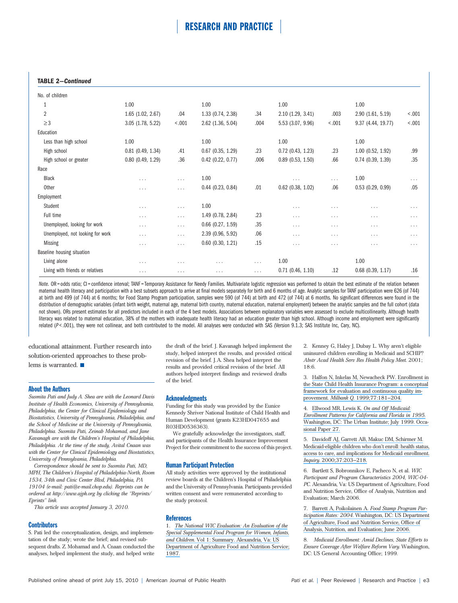#### TABLE 2—Continued

| No. of children                              |                       |          |                       |          |                       |        |                     |          |
|----------------------------------------------|-----------------------|----------|-----------------------|----------|-----------------------|--------|---------------------|----------|
| 1                                            | 1.00                  |          | 1.00                  |          | 1.00                  |        | 1.00                |          |
| $\overline{2}$                               | $1.65$ (1.02, 2.67)   | .04      | 1.33 (0.74, 2.38)     | .34      | 2.10(1.29, 3.41)      | .003   | 2.90(1.61, 5.19)    | < .001   |
| $\geq$ 3                                     | 3.05 (1.78, 5.22)     | < .001   | 2.62 (1.36, 5.04)     | .004     | 5.53 (3.07, 9.96)     | < .001 | 9.37 (4.44, 19.77)  | < .001   |
| Education                                    |                       |          |                       |          |                       |        |                     |          |
| Less than high school                        | 1.00                  |          | 1.00                  |          | 1.00                  |        | 1.00                |          |
| High school                                  | $0.81$ (0.49, 1.34)   | .41      | $0.67$ $(0.35, 1.29)$ | .23      | $0.72$ (0.43, 1.23)   | .23    | $1.00$ (0.52, 1.92) | .99      |
| High school or greater                       | $0.80$ $(0.49, 1.29)$ | .36      | $0.42$ (0.22, 0.77)   | .006     | $0.89$ $(0.53, 1.50)$ | .66    | $0.74$ (0.39, 1.39) | .35      |
| Race                                         |                       |          |                       |          |                       |        |                     |          |
| Black                                        | .                     | $\cdots$ | 1.00                  |          | $\cdots$              | .      | 1.00                | $\cdots$ |
| Other                                        | .                     | $\cdots$ | $0.44$ (0.23, 0.84)   | .01      | $0.62$ (0.38, 1.02)   | .06    | $0.53$ (0.29, 0.99) | .05      |
| Employment                                   |                       |          |                       |          |                       |        |                     |          |
| Student                                      | .                     | $\ldots$ | 1.00                  |          | $\cdots$              | .      | .                   | .        |
| Full time                                    | .                     | $\cdots$ | 1.49 (0.78, 2.84)     | .23      | $\cdots$              | .      | $\cdots$            | .        |
| Unemployed, looking for work                 | .                     | $\cdots$ | $0.66$ $(0.27, 1.59)$ | .35      | $\cdots$              | .      | $\cdots$            | $\cdots$ |
| Unemployed, not looking for work             | .                     | $\ldots$ | 2.39 (0.96, 5.92)     | .06      | $\cdots$              | .      | $\cdots$            | $\cdots$ |
| <b>Missing</b>                               | .                     | .        | $0.60$ $(0.30, 1.21)$ | .15      | $\cdots$              | .      | $\cdots$            | $\cdots$ |
| Baseline housing situation                   |                       |          |                       |          |                       |        |                     |          |
| Living alone<br>.                            |                       | $\cdots$ | $\cdots$              | .        | 1.00                  |        | 1.00                |          |
| Living with friends or relatives<br>$\cdots$ |                       | .        | $\cdots$              | $\cdots$ | $0.71$ (0.46, 1.10)   | .12    | $0.68$ (0.39, 1.17) | .16      |

Note. OR = odds ratio; CI = confidence interval; TANF = Temporary Assistance for Needy Families. Multivariate logistic regression was performed to obtain the best estimate of the relation between maternal health literacy and participation with a best subsets approach to arrive at final models separately for birth and 6 months of age. Analytic samples for TANF participation were 626 (of 744) at birth and 499 (of 744) at 6 months; for Food Stamp Program participation, samples were 590 (of 744) at birth and 472 (of 744) at 6 months. No significant differences were found in the distribution of demographic variables (infant birth weight, maternal age, maternal birth country, maternal education, maternal employment) between the analytic samples and the full cohort (data not shown). ORs present estimates for all predictors included in each of the 4 best models. Associations between explanatory variables were assessed to exclude multicollinearity. Although health literacy was related to maternal education, 38% of the mothers with inadequate health literacy had an education greater than high school. Although income and employment were significantly related  $(P < .001)$ , they were not collinear, and both contributed to the model. All analyses were conducted with SAS (Version 9.1.3; SAS Institute Inc, Cary, NC).

educational attainment. Further research into solution-oriented approaches to these problems is warranted.  $\blacksquare$ 

#### About the Authors

Susmita Pati and Judy A. Shea are with the Leonard Davis Institute of Health Economics, University of Pennsylvania, Philadelphia, the Center for Clinical Epidemiology and Biostatistics, University of Pennsylvania, Philadelphia, and the School of Medicine at the University of Pennsylvania, Philadelphia. Susmita Pati, Zeinab Mohamad, and Jane Kavanagh are with the Children's Hospital of Philadelphia, Philadelphia. At the time of the study, Avital Cnaan was with the Center for Clinical Epidemiology and Biostatistics, University of Pennsylvania, Philadelphia.

Correspondence should be sent to Susmita Pati, MD, MPH, The Children's Hospital of Philadelphia-North, Room 1534, 34th and Civic Center Blvd, Philadelphia, PA 19104 (e-mail: pati@e-mail.chop.edu). Reprints can be ordered at http://www.ajph.org by clicking the ''Reprints/ Eprints'' link.

This article was accepted January 3, 2010.

#### **Contributors**

S. Pati led the conceptualization, design, and implementation of the study; wrote the brief; and revised subsequent drafts. Z. Mohamad and A. Cnaan conducted the analyses, helped implement the study, and helped write the draft of the brief. J. Kavanagh helped implement the study, helped interpret the results, and provided critical revision of the brief. J. A. Shea helped interpret the results and provided critical revision of the brief. All authors helped interpret findings and reviewed drafts of the brief.

#### **Acknowledgments**

Funding for this study was provided by the Eunice Kennedy Shriver National Institute of Child Health and Human Development (grants K23HD047655 and R03HD0536363).

We gratefully acknowledge the investigators, staff, and participants of the Health Insurance Improvement Project for their commitment to the success of this project.

#### Human Participant Protection

All study activities were approved by the institutional review boards at the Children's Hospital of Philadelphia and the University of Pennsylvania. Participants provided written consent and were remunerated according to the study protocol.

#### **References**

1. [The National WIC Evaluation: An Evaluation of the](https://www.researchgate.net/publication/19754963_The_National_WIC_Evaluation_evaluation_of_the_Special_Supplemental_Food_Program_for_Women_Infants_and_Children_VI_Study_of_infants_and_children?el=1_x_8&enrichId=rgreq-d3abe1bf50bacb4cbb3de56f2bb2121d-XXX&enrichSource=Y292ZXJQYWdlOzQ1MjAwMDQyO0FTOjEwMjAxMDUwNjQ0ODkwMEAxNDAxMzMyNjA4MzQz) [Special Supplemental Food Program for Women, Infants,](https://www.researchgate.net/publication/19754963_The_National_WIC_Evaluation_evaluation_of_the_Special_Supplemental_Food_Program_for_Women_Infants_and_Children_VI_Study_of_infants_and_children?el=1_x_8&enrichId=rgreq-d3abe1bf50bacb4cbb3de56f2bb2121d-XXX&enrichSource=Y292ZXJQYWdlOzQ1MjAwMDQyO0FTOjEwMjAxMDUwNjQ0ODkwMEAxNDAxMzMyNjA4MzQz) and Children[. Vol 1: Summary. Alexandria, Va: US](https://www.researchgate.net/publication/19754963_The_National_WIC_Evaluation_evaluation_of_the_Special_Supplemental_Food_Program_for_Women_Infants_and_Children_VI_Study_of_infants_and_children?el=1_x_8&enrichId=rgreq-d3abe1bf50bacb4cbb3de56f2bb2121d-XXX&enrichSource=Y292ZXJQYWdlOzQ1MjAwMDQyO0FTOjEwMjAxMDUwNjQ0ODkwMEAxNDAxMzMyNjA4MzQz) [Department of Agriculture Food and Nutrition Service;](https://www.researchgate.net/publication/19754963_The_National_WIC_Evaluation_evaluation_of_the_Special_Supplemental_Food_Program_for_Women_Infants_and_Children_VI_Study_of_infants_and_children?el=1_x_8&enrichId=rgreq-d3abe1bf50bacb4cbb3de56f2bb2121d-XXX&enrichSource=Y292ZXJQYWdlOzQ1MjAwMDQyO0FTOjEwMjAxMDUwNjQ0ODkwMEAxNDAxMzMyNjA4MzQz) [1987.](https://www.researchgate.net/publication/19754963_The_National_WIC_Evaluation_evaluation_of_the_Special_Supplemental_Food_Program_for_Women_Infants_and_Children_VI_Study_of_infants_and_children?el=1_x_8&enrichId=rgreq-d3abe1bf50bacb4cbb3de56f2bb2121d-XXX&enrichSource=Y292ZXJQYWdlOzQ1MjAwMDQyO0FTOjEwMjAxMDUwNjQ0ODkwMEAxNDAxMzMyNjA4MzQz)

2. Kenney G, Haley J, Dubay L. Why aren't eligible uninsured children enrolling in Medicaid and SCHIP? Abstr Acad Health Serv Res Health Policy Meet. 2001; 18:6.

3. [Halfon N, Inkelas M, Newacheck PW. Enrollment in](https://www.researchgate.net/publication/12907390_Enrollment_in_the_State_Child_Health_Insurance_Program_A_Conceptual_Framework_for_Evaluation_and_Continuous_Quality_Improvement?el=1_x_8&enrichId=rgreq-d3abe1bf50bacb4cbb3de56f2bb2121d-XXX&enrichSource=Y292ZXJQYWdlOzQ1MjAwMDQyO0FTOjEwMjAxMDUwNjQ0ODkwMEAxNDAxMzMyNjA4MzQz) [the State Child Health Insurance Program: a conceptual](https://www.researchgate.net/publication/12907390_Enrollment_in_the_State_Child_Health_Insurance_Program_A_Conceptual_Framework_for_Evaluation_and_Continuous_Quality_Improvement?el=1_x_8&enrichId=rgreq-d3abe1bf50bacb4cbb3de56f2bb2121d-XXX&enrichSource=Y292ZXJQYWdlOzQ1MjAwMDQyO0FTOjEwMjAxMDUwNjQ0ODkwMEAxNDAxMzMyNjA4MzQz) [framework for evaluation and continuous quality im](https://www.researchgate.net/publication/12907390_Enrollment_in_the_State_Child_Health_Insurance_Program_A_Conceptual_Framework_for_Evaluation_and_Continuous_Quality_Improvement?el=1_x_8&enrichId=rgreq-d3abe1bf50bacb4cbb3de56f2bb2121d-XXX&enrichSource=Y292ZXJQYWdlOzQ1MjAwMDQyO0FTOjEwMjAxMDUwNjQ0ODkwMEAxNDAxMzMyNjA4MzQz)provement. Milbank Q[. 1999;77:181–204.](https://www.researchgate.net/publication/12907390_Enrollment_in_the_State_Child_Health_Insurance_Program_A_Conceptual_Framework_for_Evaluation_and_Continuous_Quality_Improvement?el=1_x_8&enrichId=rgreq-d3abe1bf50bacb4cbb3de56f2bb2121d-XXX&enrichSource=Y292ZXJQYWdlOzQ1MjAwMDQyO0FTOjEwMjAxMDUwNjQ0ODkwMEAxNDAxMzMyNjA4MzQz)

4. [Ellwood MR, Lewis K.](https://www.researchgate.net/publication/254431504_On_and_Off_Medicaid_Enrollment_Patterns_for_California_and_Florida_in_1995_The_Urban_Institute?el=1_x_8&enrichId=rgreq-d3abe1bf50bacb4cbb3de56f2bb2121d-XXX&enrichSource=Y292ZXJQYWdlOzQ1MjAwMDQyO0FTOjEwMjAxMDUwNjQ0ODkwMEAxNDAxMzMyNjA4MzQz) On and Off Medicaid: [Enrollment Patterns for California and Florida in 1995](https://www.researchgate.net/publication/254431504_On_and_Off_Medicaid_Enrollment_Patterns_for_California_and_Florida_in_1995_The_Urban_Institute?el=1_x_8&enrichId=rgreq-d3abe1bf50bacb4cbb3de56f2bb2121d-XXX&enrichSource=Y292ZXJQYWdlOzQ1MjAwMDQyO0FTOjEwMjAxMDUwNjQ0ODkwMEAxNDAxMzMyNjA4MzQz). [Washington, DC: The Urban Institute; July 1999. Occa](https://www.researchgate.net/publication/254431504_On_and_Off_Medicaid_Enrollment_Patterns_for_California_and_Florida_in_1995_The_Urban_Institute?el=1_x_8&enrichId=rgreq-d3abe1bf50bacb4cbb3de56f2bb2121d-XXX&enrichSource=Y292ZXJQYWdlOzQ1MjAwMDQyO0FTOjEwMjAxMDUwNjQ0ODkwMEAxNDAxMzMyNjA4MzQz)sional Paper 27

5. [Davidoff AJ, Garrett AB, Makuc DM, Schirmer M.](https://www.researchgate.net/publication/12337409_Medicaid-eligible_children_who_don) [Medicaid-eligible children who don't enroll: health status,](https://www.researchgate.net/publication/12337409_Medicaid-eligible_children_who_don) [access to care, and implications for Medicaid enrollment.](https://www.researchgate.net/publication/12337409_Medicaid-eligible_children_who_don) Inquiry[. 2000;37:203–218.](https://www.researchgate.net/publication/12337409_Medicaid-eligible_children_who_don)

6. Bartlett S, Bobronnikov E, Pacheco N, et al. WIC Participant and Program Characteristics 2004, WIC-04- PC. Alexandria, Va: US Department of Agriculture, Food and Nutrition Service, Office of Analysis, Nutrition and Evaluation; March 2006.

7. Barrett A, Poikolainen A. [Food Stamp Program Par](https://www.researchgate.net/publication/254430531_Food_Stamp_Program_Participation_Rates_2004?el=1_x_8&enrichId=rgreq-d3abe1bf50bacb4cbb3de56f2bb2121d-XXX&enrichSource=Y292ZXJQYWdlOzQ1MjAwMDQyO0FTOjEwMjAxMDUwNjQ0ODkwMEAxNDAxMzMyNjA4MzQz)ticipation Rates: 2004[. Washington, DC: US Department](https://www.researchgate.net/publication/254430531_Food_Stamp_Program_Participation_Rates_2004?el=1_x_8&enrichId=rgreq-d3abe1bf50bacb4cbb3de56f2bb2121d-XXX&enrichSource=Y292ZXJQYWdlOzQ1MjAwMDQyO0FTOjEwMjAxMDUwNjQ0ODkwMEAxNDAxMzMyNjA4MzQz) [of Agriculture, Food and Nutrition Service, Office of](https://www.researchgate.net/publication/254430531_Food_Stamp_Program_Participation_Rates_2004?el=1_x_8&enrichId=rgreq-d3abe1bf50bacb4cbb3de56f2bb2121d-XXX&enrichSource=Y292ZXJQYWdlOzQ1MjAwMDQyO0FTOjEwMjAxMDUwNjQ0ODkwMEAxNDAxMzMyNjA4MzQz) [Analysis, Nutrition, and Evaluation; June 2006.](https://www.researchgate.net/publication/254430531_Food_Stamp_Program_Participation_Rates_2004?el=1_x_8&enrichId=rgreq-d3abe1bf50bacb4cbb3de56f2bb2121d-XXX&enrichSource=Y292ZXJQYWdlOzQ1MjAwMDQyO0FTOjEwMjAxMDUwNjQ0ODkwMEAxNDAxMzMyNjA4MzQz)

8. Medicaid Enrollment: Amid Declines, State Efforts to Ensure Coverage After Welfare Reform Vary. Washington, DC: US General Accounting Office; 1999.